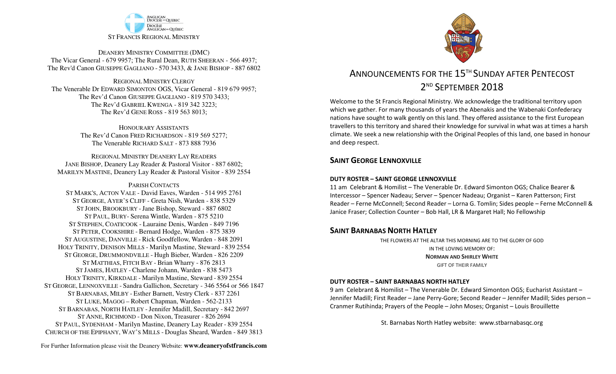

DEANERY MINISTRY COMMITTEE (DMC) The Vicar General - 679 9957; The Rural Dean, RUTH SHEERAN - 566 4937; The Rev'd Canon GIUSEPPE GAGLIANO - <sup>570</sup> 3433, & JANE BISHOP - 887 6802

REGIONAL MINISTRY CLERGY The Venerable Dr EDWARD SIMONTON OGS, Vicar General - 819 679 9957;The Rev'd Canon GIUSEPPE GAGLIANO - <sup>819</sup> <sup>570</sup> 3433; The Rev'd GABRIEL KWENGA - 819 342 3223;The Rev'd GENE ROSS - 819 563 8013;

> HONOURARY ASSISTANTS The Rev'd Canon FRED RICHARDSON - 819 569 5277;The Venerable RICHARD SALT - 873 888 7936

REGIONAL MINISTRY DEANERY LAY READERS JANE BISHOP, Deanery Lay Reader & Pastoral Visitor - 887 6802;MARILYN MASTINE, Deanery Lay Reader & Pastoral Visitor - 839 2554

PARISH CONTACTS

 ST MARK'S, ACTON VALE - David Eaves, Warden - 514 995 2761 ST GEORGE, AYER'S CLIFF - Greta Nish, Warden - 838 5329 ST JOHN, BROOKBURY -Jane Bishop, Steward - 887 6802 ST PAUL, BURY- Serena Wintle, Warden - 875 5210 ST STEPHEN, COATICOOK - Lauraine Denis, Warden - 849 7196 ST PETER, COOKSHIRE - Bernard Hodge, Warden - 875 3839 ST AUGUSTINE, DANVILLE - Rick Goodfellow, Warden - 848 2091 HOLY TRINITY, DENISON MILLS - Marilyn Mastine, Steward - <sup>839</sup> <sup>2554</sup> ST GEORGE, DRUMMONDVILLE - Hugh Bieber, Warden - 826 2209 ST MATTHIAS, FITCH BAY - Brian Wharry - 876 2813 ST JAMES, HATLEY - Charlene Johann, Warden - 838 5473 HOLY TRINITY, KIRKDALE - Marilyn Mastine, Steward - <sup>839</sup> <sup>2554</sup> ST GEORGE, LENNOXVILLE - Sandra Gallichon, Secretary - 346 5564 or 566 1847 ST BARNABAS, MILBY - Esther Barnett, Vestry Clerk - 837 2261 ST LUKE, MAGOG – Robert Chapman, Warden - 562-2133 ST BARNABAS, NORTH HATLEY -Jennifer Madill, Secretary - <sup>842</sup> <sup>2697</sup> ST ANNE, RICHMOND - Don Nixon, Treasurer - 826 <sup>2694</sup> ST PAUL, SYDENHAM - Marilyn Mastine, Deanery Lay Reader - <sup>839</sup> <sup>2554</sup> CHURCH OF THE EPIPHANY, WAY'S MILLS - Douglas Sheard, Warden - 849 3813



# ANNOUNCEMENTS FOR THE 15<sup>TH</sup> SUNDAY AFTER PENTECOST 2<sup>ND</sup> SEPTEMBER 2018

Welcome to the St Francis Regional Ministry. We acknowledge the traditional territory upon which we gather. For many thousands of years the Abenakis and the Wabenaki Confederacy nations have sought to walk gently on this land. They offered assistance to the first European travellers to this territory and shared their knowledge for survival in what was at times a harsh climate. We seek a new relationship with the Original Peoples of this land, one based in honour and deep respect.

# **SAINT GFORGE LENNOXVILLE**

#### **DUTY ROSTER – SAINT GEORGE LENNOXVILLE**

11 am Celebrant & Homilist – The Venerable Dr. Edward Simonton OGS; Chalice Bearer & Intercessor – Spencer Nadeau; Server – Spencer Nadeau; Organist – Karen Patterson; First Reader – Ferne McConnell; Second Reader – Lorna G. Tomlin; Sides people – Ferne McConnell & Janice Fraser; Collection Counter – Bob Hall, LR & Margaret Hall; No Fellowship

# **SAINT BARNABAS NORTH HATLEY**

THE FLOWERS AT THE ALTAR THIS MORNING ARE TO THE GLORY OF GODIN THE LOVING MEMORY OF: **NORMAN AND SHIRLEY WHITE**GIFT OF THEIR FAMILY

#### **DUTY ROSTER – SAINT BARNABAS NORTH HATLEY**

9 am Celebrant & Homilist – The Venerable Dr. Edward Simonton OGS; Eucharist Assistant – Jennifer Madill; First Reader – Jane Perry-Gore; Second Reader – Jennifer Madill; Sides person – Cranmer Rutihinda; Prayers of the People – John Moses; Organist – Louis Brouillette

St. Barnabas North Hatley website: www.stbarnabasqc.org

For Further Information please visit the Deanery Website: **www.deaneryofstfrancis.com**